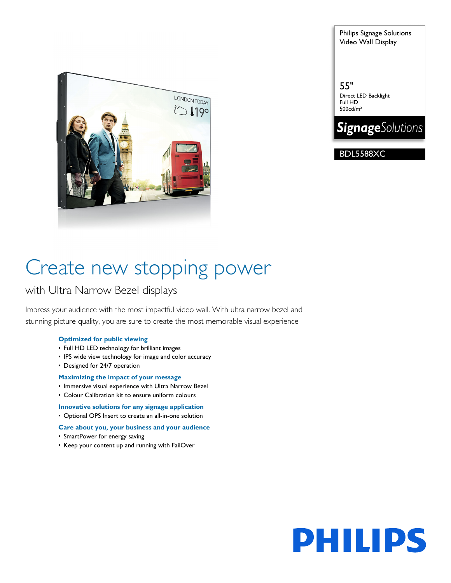

Philips Signage Solutions Video Wall Display

55" Direct LED Backlight Full HD 500cd/m²



BDL5588XC

# Create new stopping power

### with Ultra Narrow Bezel displays

Impress your audience with the most impactful video wall. With ultra narrow bezel and stunning picture quality, you are sure to create the most memorable visual experience

#### **Optimized for public viewing**

- Full HD LED technology for brilliant images
- IPS wide view technology for image and color accuracy
- Designed for 24/7 operation

#### **Maximizing the impact of your message**

- Immersive visual experience with Ultra Narrow Bezel
- Colour Calibration kit to ensure uniform colours

#### **Innovative solutions for any signage application**

• Optional OPS Insert to create an all-in-one solution

#### **Care about you, your business and your audience**

- SmartPower for energy saving
- Keep your content up and running with FailOver

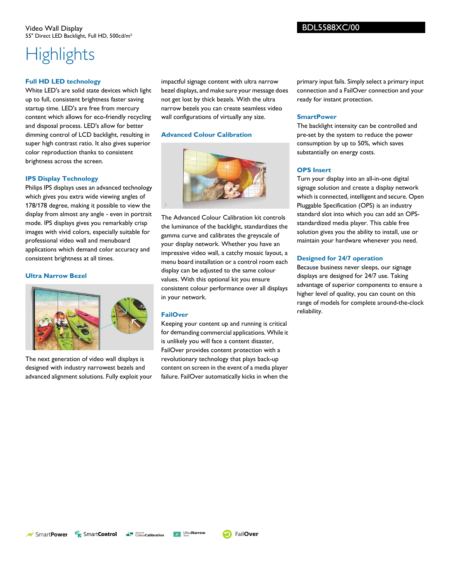## **Highlights**

#### **Full HD LED technology**

White LED's are solid state devices which light up to full, consistent brightness faster saving startup time. LED's are free from mercury content which allows for eco-friendly recycling and disposal process. LED's allow for better dimming control of LCD backlight, resulting in super high contrast ratio. It also gives superior color reproduction thanks to consistent brightness across the screen.

#### **IPS Display Technology**

Philips IPS displays uses an advanced technology which gives you extra wide viewing angles of 178/178 degree, making it possible to view the display from almost any angle - even in portrait mode. IPS displays gives you remarkably crisp images with vivid colors, especially suitable for professional video wall and menuboard applications which demand color accuracy and consistent brightness at all times.

#### **Ultra Narrow Bezel**



The next generation of video wall displays is designed with industry narrowest bezels and advanced alignment solutions. Fully exploit your impactful signage content with ultra narrow bezel displays, and make sure your message does not get lost by thick bezels. With the ultra narrow bezels you can create seamless video wall configurations of virtually any size.

#### **Advanced Colour Calibration**



The Advanced Colour Calibration kit controls the luminance of the backlight, standardizes the gamma curve and calibrates the greyscale of your display network. Whether you have an impressive video wall, a catchy mosaic layout, a menu board installation or a control room each display can be adjusted to the same colour values. With this optional kit you ensure consistent colour performance over all displays in your network.

#### **FailOver**

Keeping your content up and running is critical for demanding commercial applications. While it is unlikely you will face a content disaster, FailOver provides content protection with a revolutionary technology that plays back-up content on screen in the event of a media player failure. FailOver automatically kicks in when the

primary input fails. Simply select a primary input connection and a FailOver connection and your ready for instant protection.

#### **SmartPower**

The backlight intensity can be controlled and pre-set by the system to reduce the power consumption by up to 50%, which saves substantially on energy costs.

#### **OPS Insert**

Turn your display into an all-in-one digital signage solution and create a display network which is connected, intelligent and secure. Open Pluggable Specification (OPS) is an industry standard slot into which you can add an OPSstandardized media player. This cable free solution gives you the ability to install, use or maintain your hardware whenever you need.

#### **Designed for 24/7 operation**

Because business never sleeps, our signage displays are designed for 24/7 use. Taking advantage of superior components to ensure a higher level of quality, you can count on this range of models for complete around-the-clock reliability.

<sup>o</sup> Smart Control **E.** ColourCalibration **B** UltraNarrow **B** FailOver